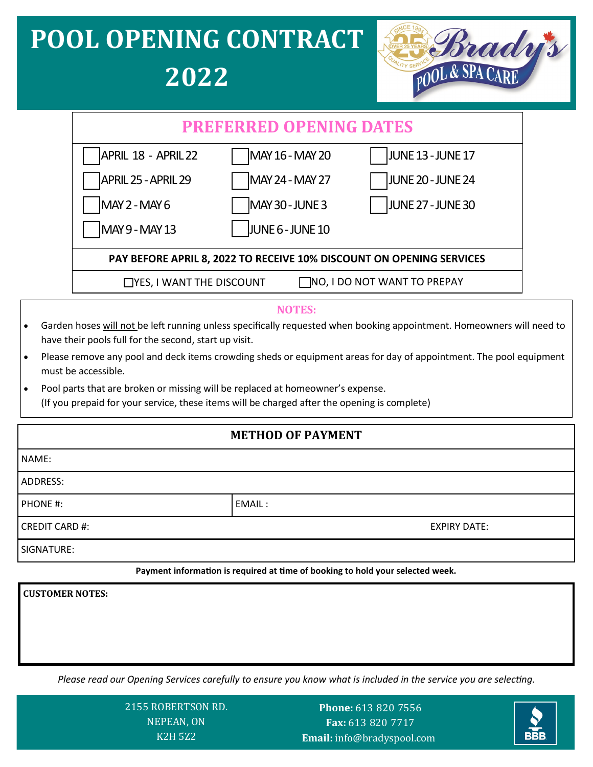# **POOL OPENING CONTRACT 2022**



| <b>PREFERRED OPENING DATES</b>                                       |                  |                   |  |  |
|----------------------------------------------------------------------|------------------|-------------------|--|--|
| APRIL 18 - APRIL 22                                                  | MAY 16 - MAY 20  | JUNE 13 - JUNE 17 |  |  |
| APRIL 25 - APRIL 29                                                  | MAY 24 - MAY 27  | JUNE 20 - JUNE 24 |  |  |
| $MAY$ 2 - MAY 6                                                      | MAY 30 - JUNE 3  | JUNE 27 - JUNE 30 |  |  |
| MAY 9 - MAY 13                                                       | JUNE 6 - JUNE 10 |                   |  |  |
| PAY BEFORE APRIL 8, 2022 TO RECEIVE 10% DISCOUNT ON OPENING SERVICES |                  |                   |  |  |
| TNO, I DO NOT WANT TO PREPAY<br>$\Box$ YES, I WANT THE DISCOUNT      |                  |                   |  |  |

#### **NOTES:**

- Garden hoses will not be left running unless specifically requested when booking appointment. Homeowners will need to have their pools full for the second, start up visit.
- Please remove any pool and deck items crowding sheds or equipment areas for day of appointment. The pool equipment must be accessible.
- Pool parts that are broken or missing will be replaced at homeowner's expense. (If you prepaid for your service, these items will be charged after the opening is complete)

#### **METHOD OF PAYMENT**

| NAME:                 |        |                     |  |
|-----------------------|--------|---------------------|--|
| ADDRESS:              |        |                     |  |
| PHONE #:              | EMAIL: |                     |  |
| <b>CREDIT CARD #:</b> |        | <b>EXPIRY DATE:</b> |  |
| SIGNATURE:            |        |                     |  |

**Payment information is required at time of booking to hold your selected week.** 

**CUSTOMER NOTES:** 

*Please read our Opening Services carefully to ensure you know what is included in the service you are selecting.*

2155 ROBERTSON RD. NEPEAN, ON K2H 5Z2

Phone: 613 820 7556 Fax: 613 820 7717 **- Email:** info@bradyspool.com